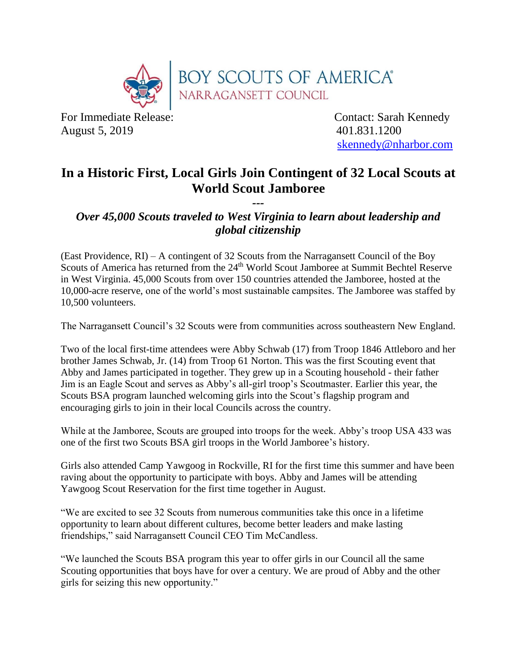

August 5, 2019 401.831.1200

For Immediate Release: Contact: Sarah Kennedy [skennedy@nharbor.com](mailto:skennedy@nharbor.com)

## **In a Historic First, Local Girls Join Contingent of 32 Local Scouts at World Scout Jamboree**

*--- Over 45,000 Scouts traveled to West Virginia to learn about leadership and global citizenship* 

(East Providence, RI) – A contingent of 32 Scouts from the Narragansett Council of the Boy Scouts of America has returned from the 24<sup>th</sup> World Scout Jamboree at Summit Bechtel Reserve in West Virginia. 45,000 Scouts from over 150 countries attended the Jamboree, hosted at the 10,000-acre reserve, one of the world's most sustainable campsites. The Jamboree was staffed by 10,500 volunteers.

The Narragansett Council's 32 Scouts were from communities across southeastern New England.

Two of the local first-time attendees were Abby Schwab (17) from Troop 1846 Attleboro and her brother James Schwab, Jr. (14) from Troop 61 Norton. This was the first Scouting event that Abby and James participated in together. They grew up in a Scouting household - their father Jim is an Eagle Scout and serves as Abby's all-girl troop's Scoutmaster. Earlier this year, the Scouts BSA program launched welcoming girls into the Scout's flagship program and encouraging girls to join in their local Councils across the country.

While at the Jamboree, Scouts are grouped into troops for the week. Abby's troop USA 433 was one of the first two Scouts BSA girl troops in the World Jamboree's history.

Girls also attended Camp Yawgoog in Rockville, RI for the first time this summer and have been raving about the opportunity to participate with boys. Abby and James will be attending Yawgoog Scout Reservation for the first time together in August.

"We are excited to see 32 Scouts from numerous communities take this once in a lifetime opportunity to learn about different cultures, become better leaders and make lasting friendships," said Narragansett Council CEO Tim McCandless.

"We launched the Scouts BSA program this year to offer girls in our Council all the same Scouting opportunities that boys have for over a century. We are proud of Abby and the other girls for seizing this new opportunity."